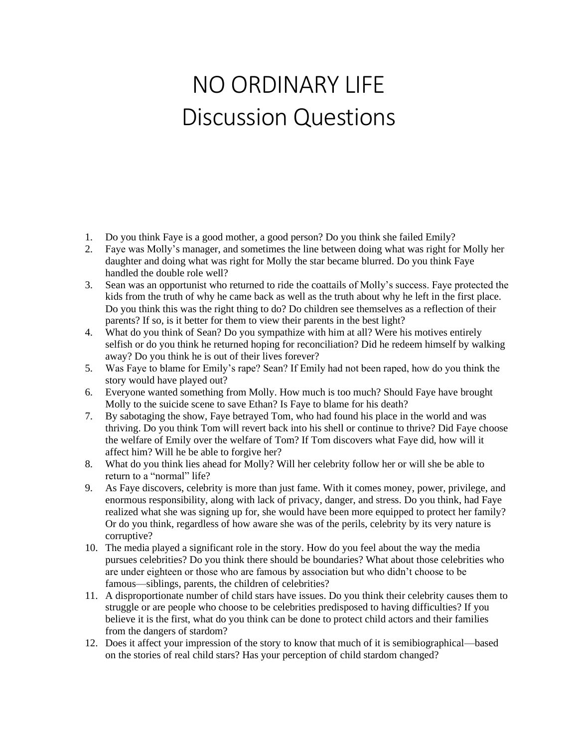## NO ORDINARY LIFE Discussion Questions

- 1. Do you think Faye is a good mother, a good person? Do you think she failed Emily?
- 2. Faye was Molly's manager, and sometimes the line between doing what was right for Molly her daughter and doing what was right for Molly the star became blurred. Do you think Faye handled the double role well?
- 3. Sean was an opportunist who returned to ride the coattails of Molly's success. Faye protected the kids from the truth of why he came back as well as the truth about why he left in the first place. Do you think this was the right thing to do? Do children see themselves as a reflection of their parents? If so, is it better for them to view their parents in the best light?
- 4. What do you think of Sean? Do you sympathize with him at all? Were his motives entirely selfish or do you think he returned hoping for reconciliation? Did he redeem himself by walking away? Do you think he is out of their lives forever?
- 5. Was Faye to blame for Emily's rape? Sean? If Emily had not been raped, how do you think the story would have played out?
- 6. Everyone wanted something from Molly. How much is too much? Should Faye have brought Molly to the suicide scene to save Ethan? Is Faye to blame for his death?
- 7. By sabotaging the show, Faye betrayed Tom, who had found his place in the world and was thriving. Do you think Tom will revert back into his shell or continue to thrive? Did Faye choose the welfare of Emily over the welfare of Tom? If Tom discovers what Faye did, how will it affect him? Will he be able to forgive her?
- 8. What do you think lies ahead for Molly? Will her celebrity follow her or will she be able to return to a "normal" life?
- 9. As Faye discovers, celebrity is more than just fame. With it comes money, power, privilege, and enormous responsibility, along with lack of privacy, danger, and stress. Do you think, had Faye realized what she was signing up for, she would have been more equipped to protect her family? Or do you think, regardless of how aware she was of the perils, celebrity by its very nature is corruptive?
- 10. The media played a significant role in the story. How do you feel about the way the media pursues celebrities? Do you think there should be boundaries? What about those celebrities who are under eighteen or those who are famous by association but who didn't choose to be famous—siblings, parents, the children of celebrities?
- 11. A disproportionate number of child stars have issues. Do you think their celebrity causes them to struggle or are people who choose to be celebrities predisposed to having difficulties? If you believe it is the first, what do you think can be done to protect child actors and their families from the dangers of stardom?
- 12. Does it affect your impression of the story to know that much of it is semibiographical—based on the stories of real child stars? Has your perception of child stardom changed?